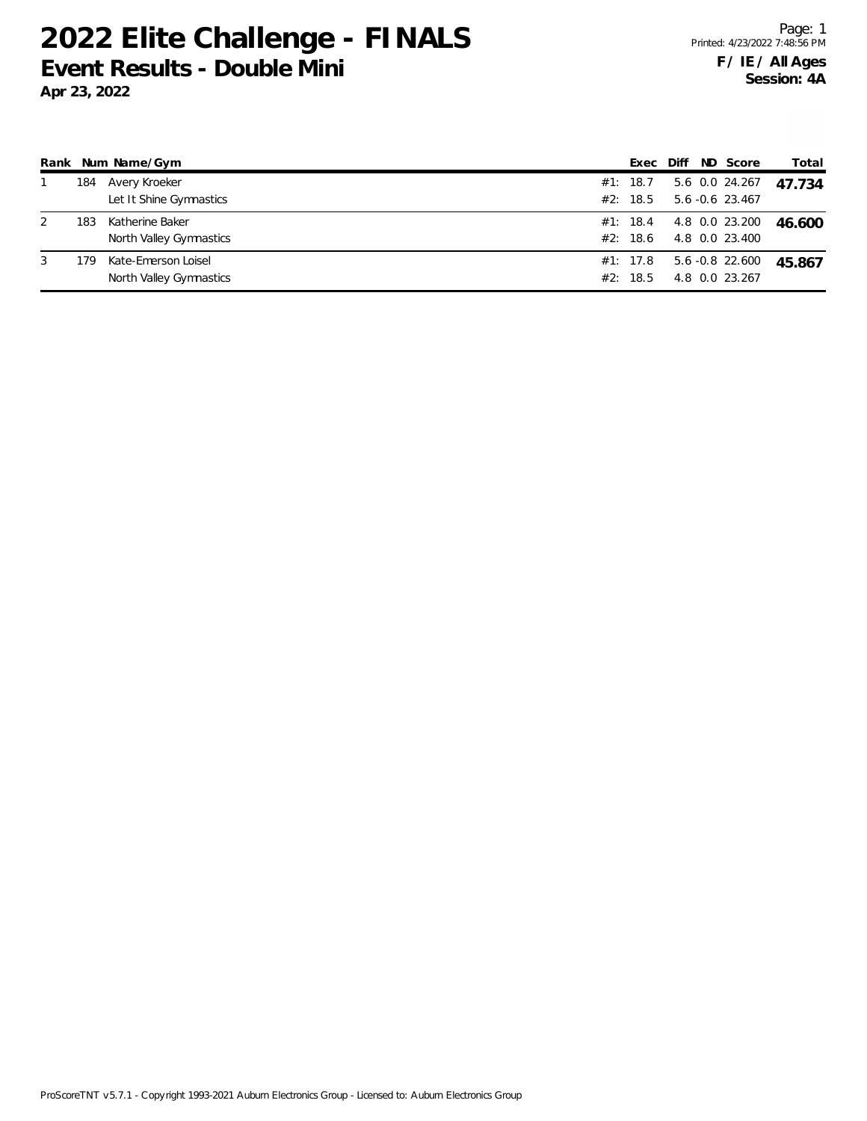|   |     | Rank Num Name/Gym                              | Exec                 | Diff | ND Score                          | Total  |
|---|-----|------------------------------------------------|----------------------|------|-----------------------------------|--------|
|   | 184 | Avery Kroeker<br>Let It Shine Gymnastics       | #1: 18.7<br>#2: 18.5 |      | 5.6 0.0 24.267<br>5.6 -0.6 23.467 | 47.734 |
| 2 | 183 | Katherine Baker<br>North Valley Gymnastics     | #1: 18.4<br>#2: 18.6 |      | 4.8 0.0 23.200<br>4.8 0.0 23.400  | 46.600 |
| 3 | 179 | Kate-Emerson Loisel<br>North Valley Gymnastics | #1: 17.8<br>#2: 18.5 |      | 5.6 -0.8 22.600<br>4.8 0.0 23.267 | 45.867 |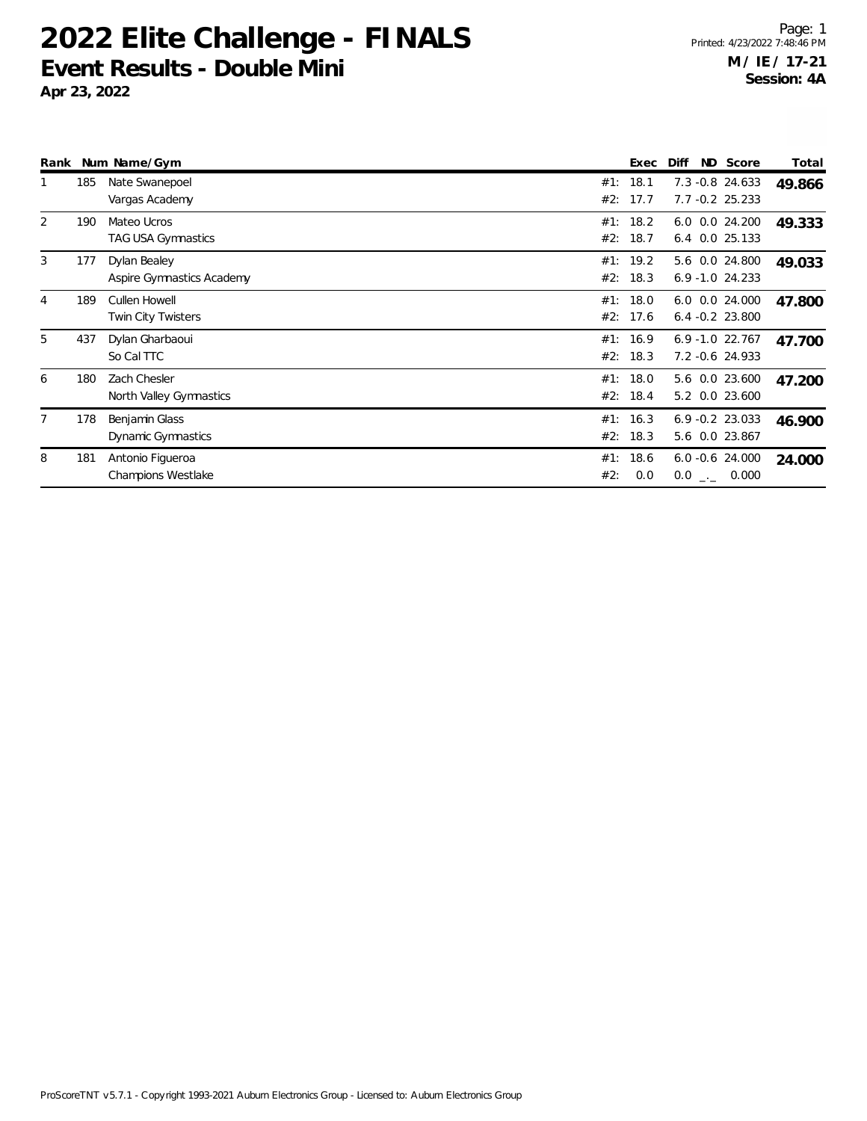| Rank           |     | Num Name/Gym                                  |                      | Exec         | ND Score<br>Diff                      | Total  |
|----------------|-----|-----------------------------------------------|----------------------|--------------|---------------------------------------|--------|
| 1              | 185 | Nate Swanepoel<br>Vargas Academy              | #1:<br>#2:           | 18.1<br>17.7 | 7.3 -0.8 24.633<br>$7.7 - 0.2$ 25.233 | 49.866 |
| $\overline{2}$ | 190 | Mateo Ucros<br>TAG USA Gymnastics             | #1:<br>#2:           | 18.2<br>18.7 | 6.0 0.0 24.200<br>6.4 0.0 25.133      | 49.333 |
| 3              | 177 | Dylan Bealey<br>Aspire Gymnastics Academy     | #1: 19.2<br>#2: 18.3 |              | 5.6 0.0 24.800<br>$6.9 - 1.0$ 24.233  | 49.033 |
| 4              | 189 | Cullen Howell<br>Twin City Twisters           | #1:<br>#2:           | 18.0<br>17.6 | 6.0 0.0 24.000<br>$6.4 -0.2$ 23.800   | 47.800 |
| 5              | 437 | Dylan Gharbaoui<br>So Cal TTC                 | #1:<br>#2: 18.3      | 16.9         | $6.9 - 1.0$ 22.767<br>7.2 -0.6 24.933 | 47.700 |
| 6              | 180 | Zach Chesler<br>North Valley Gymnastics       | #1:<br>#2:           | 18.0<br>18.4 | 5.6 0.0 23.600<br>5.2 0.0 23.600      | 47.200 |
| $\overline{7}$ | 178 | Benjamin Glass<br>Dynamic Gymnastics          | #1:<br>#2: 18.3      | 16.3         | $6.9 - 0.2$ 23.033<br>5.6 0.0 23.867  | 46.900 |
| 8              | 181 | Antonio Figueroa<br><b>Champions Westlake</b> | #1:<br>#2:           | 18.6<br>0.0  | $6.0 -0.6$ 24.000<br>$0.0$ _._ 0.000  | 24.000 |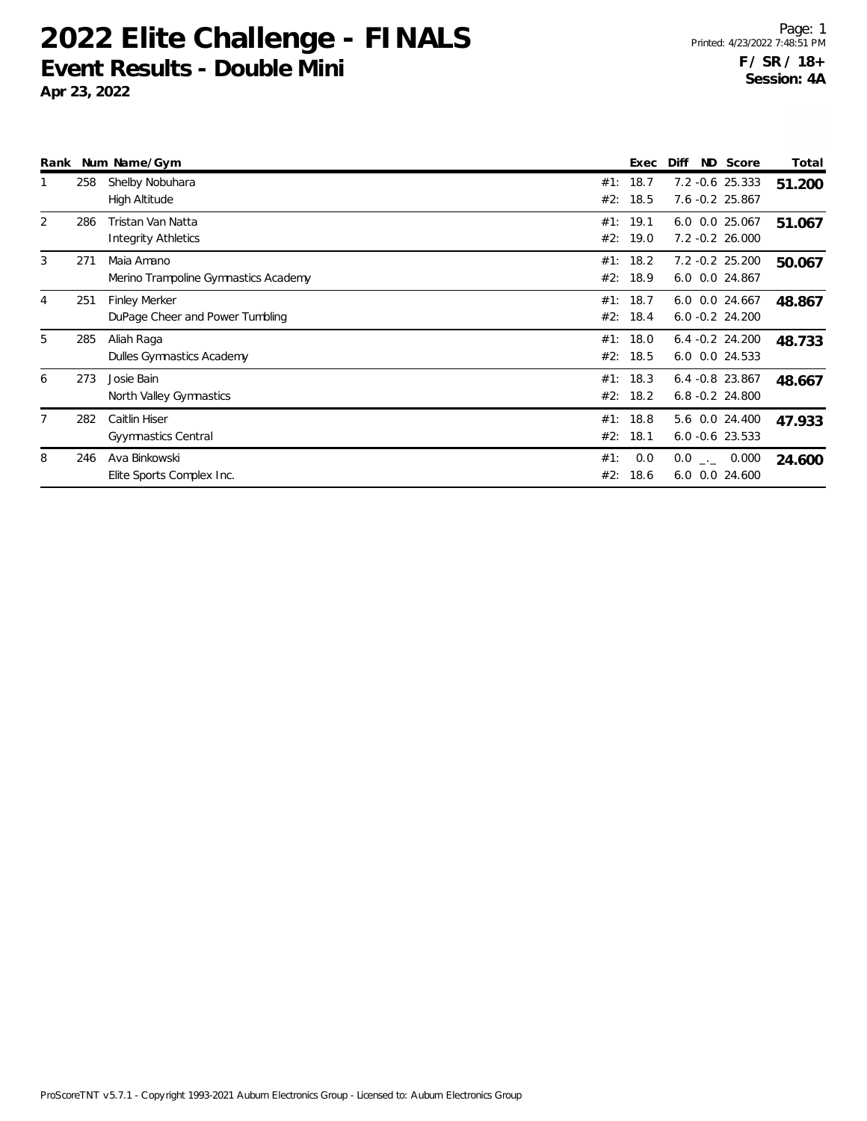|   |     | Rank Num Name/Gym                                       |            | Exec                 | Diff                                     | ND Score   | Total  |
|---|-----|---------------------------------------------------------|------------|----------------------|------------------------------------------|------------|--------|
|   | 258 | Shelby Nobuhara<br>High Altitude                        | #1:<br>#2: | 18.7<br>18.5         | 7.2 -0.6 25.333<br>7.6 -0.2 25.867       |            | 51.200 |
| 2 | 286 | Tristan Van Natta<br><b>Integrity Athletics</b>         | #2:        | #1: 19.1<br>19.0     | 6.0 0.0 25.067<br>7.2 -0.2 26.000        |            | 51.067 |
| 3 | 271 | Maia Amano<br>Merino Trampoline Gymnastics Academy      | #1:        | 18.2<br>#2: 18.9     | 7.2 -0.2 25.200<br>6.0 0.0 24.867        |            | 50.067 |
| 4 | 251 | <b>Finley Merker</b><br>DuPage Cheer and Power Tumbling | #1:<br>#2: | 18.7<br>18.4         | 6.0<br>$6.0 - 0.2 24.200$                | 0.0 24.667 | 48.867 |
| 5 | 285 | Aliah Raga<br>Dulles Gymnastics Academy                 | #1:        | 18.0<br>#2: 18.5     | $6.4 -0.2$ 24.200<br>6.0 0.0 24.533      |            | 48.733 |
| 6 | 273 | Josie Bain<br>North Valley Gymnastics                   |            | #1: 18.3<br>#2: 18.2 | $6.4 - 0.8$ 23.867<br>$6.8 - 0.2$ 24.800 |            | 48.667 |
| 7 | 282 | Caitlin Hiser<br>Gyymnastics Central                    | #2:        | #1: 18.8<br>18.1     | 5.6 0.0 24.400<br>$6.0 - 0.6$ 23.533     |            | 47.933 |
| 8 | 246 | Ava Binkowski<br>Elite Sports Complex Inc.              | #1:<br>#2: | 0.0<br>18.6          | $0.0$ _ 0.000<br>6.0                     | 0.0 24.600 | 24.600 |